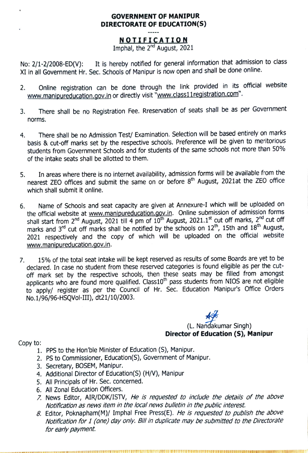## GOVERNMENT OF MANIPUR DIRECTORATE OF EDUCATION(S)

**NOTIFICATION**<br>Imphal, the 2<sup>nd</sup> August, 2021

No: 2/1-2/2008-ED(V): It is hereby notified for general information that admission to class XI in all Government Hr. Sec. Schools of Manipur is now open and shall be done online.

- 2. Online registration can be done through the link provided in its official website www.manipureducation.gov.in or directly visit "www.class11registration.com". 2.
- 3. There shall be no Registration Fee. Rreservation of seats shall be as per Government norms.
- There shall be no Admission Test/ Examination. Selection will be based entirely on marks 4. basis& cut-off marks set by the respective schools. Preference will be given to meritorious students from Government Schools and for students of the same schools not more than 50% of the intake seats shall be allotted to them.
- In areas where there is no internet availability, admission forms will be available from the nearest ZEO offices and submit the same on or before  $8<sup>th</sup>$  August, 2021at the ZEO office which shall submit it online. 5.
- Name of Schools and seat capacity are given at Annexure-I which will be uploaded on the official website at www.manipureducation.gov.in. Online submission of admission forms shall start from  $2^{nd}$  August, 2021 till 4 pm of  $10^{th}$  August, 2021.1st cut off marks,  $2^{nd}$  cut off marks and  $3^{rd}$  cut off marks shall be notified by the schools on  $12^{th}$ , 15th and  $18^{th}$  August, 2021 respectively and the copy of which will be uploaded on the official website www.manipureducation.gov.in. 6.
- 7. 15% of the total seat intake will be kept reserved as results of some Boards are yet to be declared. In case no student from these reserved categories is found eligible as per the cut off mark set by the respective schools, then these seats may be filled from amongst applicants who are found more qualified. Class10<sup>th</sup> pass students from NIOS are not eligible to apply/ register as per the Council of Hr. Sec. Education Manipur's Office Orders No.1/96/96-HSQVol-I11), dt21/10/2003.

(L. Nandakumar Singh) Director of Education (S), Manipur

Copy to:

- 1. PPS to the Hon'ble Minister of Education (S), Manipur.
- 2. PS to Commissioner, Education(S), Government of Manipur.
- 3. Secretary, BOSEM, Manipur.
- 4. Additional Director of Education(\$) (H/V), Manipur
- 5. All Principals of Hr. Sec. concerned.
- 6. All Zonal Education Officers.
- 7. News Editor, AIR/DDK/ISTV, He is requested to include the details of the above Notification as news item in the local news bulletin in the public interest.
- 8. Editor, Poknapham(M)/ Imphal Free Press(E). He is requested to publish the above Notification for 1 (one) day only. Bil in duplicate may be submitted to the Directorate for early payment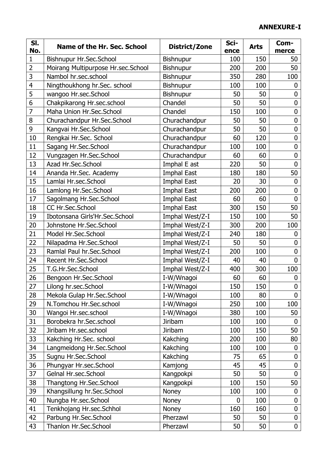## **ANNEXURE-I**

| SI.                 | Name of the Hr. Sec. School                                | District/Zone      | Sci-        | <b>Arts</b> | Com-                            |
|---------------------|------------------------------------------------------------|--------------------|-------------|-------------|---------------------------------|
| No.                 |                                                            |                    | ence        | 150         | merce                           |
| 1<br>$\overline{2}$ | Bishnupur Hr.Sec.School                                    | Bishnupur          | 100         | 200         | 50<br>50                        |
| 3                   | Moirang Multipurpose Hr.sec.School<br>Nambol hr.sec.school | <b>Bishnupur</b>   | 200         | 280         |                                 |
| 4                   |                                                            | Bishnupur          | 350         | 100         | 100                             |
| 5                   | Ningthoukhong hr.Sec. school                               | Bishnupur          | 100         |             | 0<br>0                          |
| 6                   | wangoo Hr.sec.School                                       | <b>Bishnupur</b>   | 50          | 50          |                                 |
| $\overline{7}$      | Chakpikarong Hr.sec.school<br>Maha Union Hr.Sec.School     | Chandel<br>Chandel | 50          | 50<br>100   | $\boldsymbol{0}$<br>$\mathbf 0$ |
| 8                   |                                                            |                    | 150         |             | $\mathbf 0$                     |
|                     | Churachandpur Hr.Sec.School                                | Churachandpur      | 50          | 50          |                                 |
| 9                   | Kangvai Hr.Sec.School                                      | Churachandpur      | 50          | 50          | $\mathbf 0$<br>$\overline{0}$   |
| 10                  | Rengkai Hr.Sec. School                                     | Churachandpur      | 60          | 120         |                                 |
| 11                  | Sagang Hr.Sec.School                                       | Churachandpur      | 100         | 100         | $\mathbf 0$                     |
| 12                  | Vungzagen Hr.Sec.School                                    | Churachandpur      | 60          | 60          | $\mathbf 0$                     |
| 13                  | Azad Hr.Sec.School                                         | Imphal E ast       | 220         | 50          | $\overline{0}$                  |
| 14                  | Ananda Hr.Sec. Academy                                     | Imphal East        | 180         | 180         | 50                              |
| 15                  | Lamlai Hr.sec.School                                       | Imphal East        | 20          | 30          | $\boldsymbol{0}$                |
| 16                  | Lamlong Hr.Sec.School                                      | <b>Imphal East</b> | 200         | 200         | 0                               |
| 17                  | Sagolmang Hr.Sec.School                                    | <b>Imphal East</b> | 60          | 60          | $\mathbf 0$                     |
| 18                  | CC Hr.Sec.School                                           | <b>Imphal East</b> | 300         | 150         | 50                              |
| 19                  | Ibotonsana Girls'Hr.Sec.School                             | Imphal West/Z-I    | 150         | 100         | 50                              |
| 20                  | Johnstone Hr.Sec.School                                    | Imphal West/Z-I    | 300         | 200         | 100                             |
| 21                  | Model Hr.Sec.School                                        | Imphal West/Z-I    | 240         | 180         | 0                               |
| 22                  | Nilapadma Hr.Sec.School                                    | Imphal West/Z-I    | 50          | 50          | $\overline{0}$                  |
| 23                  | Ramlal Paul hr.Sec.School                                  | Imphal West/Z-I    | 200         | 100         | $\mathbf 0$                     |
| 24                  | Recent Hr.Sec.School                                       | Imphal West/Z-I    | 40          | 40          | $\overline{0}$                  |
| 25                  | T.G.Hr.Sec.School                                          | Imphal West/Z-I    | 400         | 300         | 100                             |
| 26                  | Bengoon Hr.Sec.School                                      | I-W/Wnagoi         | 60          | 60          | 0                               |
| 27                  | Lilong hr.sec.School                                       | I-W/Wnagoi         | 150         | 150         | $\mathbf 0$                     |
| 28                  | Mekola Gulap Hr.Sec.School                                 | I-W/Wnagoi         | 100         | 80          | $\overline{0}$                  |
| 29                  | N.Tomchou Hr.Sec.school                                    | I-W/Wnagoi         | 250         | 100         | 100                             |
| 30                  | Wangoi Hr.sec.school                                       | I-W/Wnagoi         | 380         | 100         | 50                              |
| 31                  | Borobekra hr.Sec.school                                    | <b>Jiribam</b>     | 100         | 100         | $\mathbf 0$                     |
| 32                  | Jiribam Hr.sec.school                                      | <b>Jiribam</b>     | 100         | 150         | 50                              |
| 33                  | Kakching Hr.Sec. school                                    | Kakching           | 200         | 100         | 80                              |
| 34                  | Langmeidong Hr.Sec.School                                  | Kakching           | 100         | 100         | $\boldsymbol{0}$                |
| 35                  | Sugnu Hr.Sec.School                                        | Kakching           | 75          | 65          | $\mathbf 0$                     |
| 36                  | Phungyar Hr.sec.School                                     | Kamjong            | 45          | 45          | $\mathbf 0$                     |
| 37                  | Gelnal Hr.sec.School                                       | Kangpokpi          | 50          | 50          | $\overline{0}$                  |
| 38                  | Thangtong Hr.Sec.School                                    | Kangpokpi          | 100         | 150         | 50                              |
| 39                  | Khangsillung hr.Sec.School                                 | Noney              | 100         | 100         | $\boldsymbol{0}$                |
| 40                  | Nungba Hr.sec.School                                       | Noney              | $\mathbf 0$ | 100         | $\boldsymbol{0}$                |
| 41                  | Tenkhojang Hr.sec.Schhol                                   | Noney              | 160         | 160         | $\mathbf 0$                     |
| 42                  | Parbung Hr.Sec.School                                      | Pherzawl           | 50          | 50          | $\mathbf 0$                     |
| 43                  | Thanlon Hr.Sec.School                                      | Pherzawl           | 50          | 50          | $\boldsymbol{0}$                |